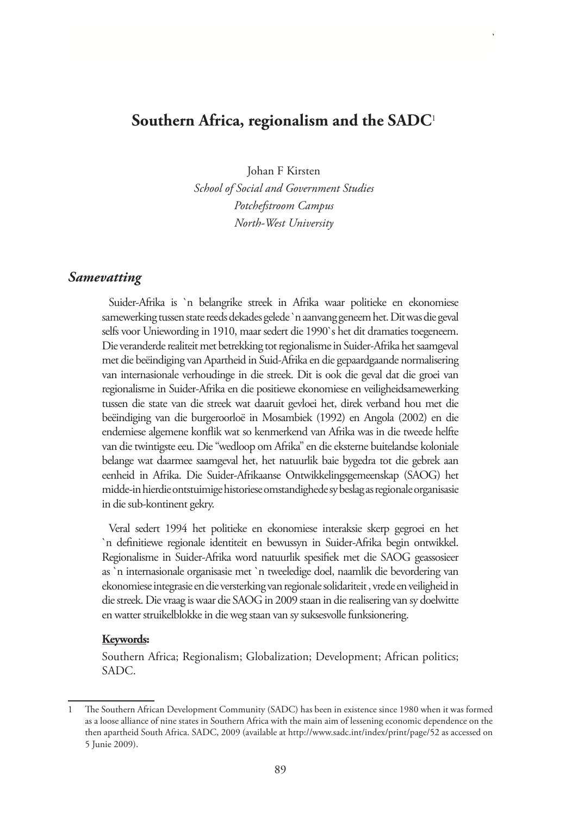# **Southern Africa, regionalism and the SADC**<sup>1</sup>

Johan F Kirsten

*School of Social and Government Studies Potchefstroom Campus North-West University* 

### *Samevatting*

Suider-Afrika is `n belangrike streek in Afrika waar politieke en ekonomiese samewerking tussen state reeds dekades gelede `n aanvang geneem het. Dit was die geval selfs voor Uniewording in 1910, maar sedert die 1990`s het dit dramaties toegeneem. Die veranderde realiteit met betrekking tot regionalisme in Suider-Afrika het saamgeval met die beëindiging van Apartheid in Suid-Afrika en die gepaardgaande normalisering van internasionale verhoudinge in die streek. Dit is ook die geval dat die groei van regionalisme in Suider-Afrika en die positiewe ekonomiese en veiligheidsamewerking tussen die state van die streek wat daaruit gevloei het, direk verband hou met die beëindiging van die burgeroorloë in Mosambiek (1992) en Angola (2002) en die endemiese algemene konflik wat so kenmerkend van Afrika was in die tweede helfte van die twintigste eeu. Die "wedloop om Afrika" en die eksterne buitelandse koloniale belange wat daarmee saamgeval het, het natuurlik baie bygedra tot die gebrek aan eenheid in Afrika. Die Suider-Afrikaanse Ontwikkelingsgemeenskap (SAOG) het midde-in hierdie ontstuimige historiese omstandighede sy beslag as regionale organisasie in die sub-kontinent gekry.

Veral sedert 1994 het politieke en ekonomiese interaksie skerp gegroei en het `n definitiewe regionale identiteit en bewussyn in Suider-Afrika begin ontwikkel. Regionalisme in Suider-Afrika word natuurlik spesifiek met die SAOG geassosieer as `n internasionale organisasie met `n tweeledige doel, naamlik die bevordering van ekonomiese integrasie en die versterking van regionale solidariteit , vrede en veiligheid in die streek. Die vraag is waar die SAOG in 2009 staan in die realisering van sy doelwitte en watter struikelblokke in die weg staan van sy suksesvolle funksionering.

#### **Keywords:**

Southern Africa; Regionalism; Globalization; Development; African politics; SADC.

<sup>1</sup> The Southern African Development Community (SADC) has been in existence since 1980 when it was formed as a loose alliance of nine states in Southern Africa with the main aim of lessening economic dependence on the then apartheid South Africa. SADC, 2009 (available at http://www.sadc.int/index/print/page/52 as accessed on 5 Junie 2009).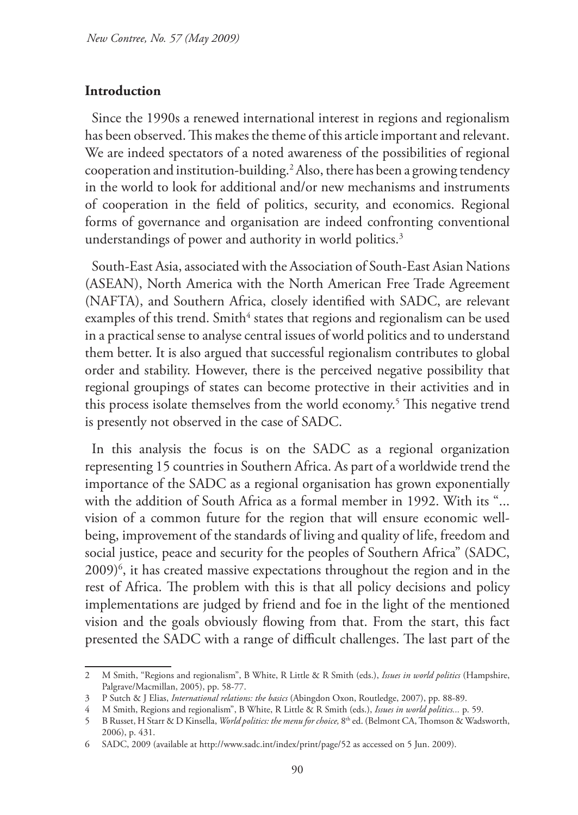### **Introduction**

Since the 1990s a renewed international interest in regions and regionalism has been observed. This makes the theme of this article important and relevant. We are indeed spectators of a noted awareness of the possibilities of regional cooperation and institution-building.2 Also, there has been a growing tendency in the world to look for additional and/or new mechanisms and instruments of cooperation in the field of politics, security, and economics. Regional forms of governance and organisation are indeed confronting conventional understandings of power and authority in world politics.<sup>3</sup>

South-East Asia, associated with the Association of South-East Asian Nations (ASEAN), North America with the North American Free Trade Agreement (NAFTA), and Southern Africa, closely identified with SADC, are relevant examples of this trend. Smith $^4$  states that regions and regionalism can be used in a practical sense to analyse central issues of world politics and to understand them better. It is also argued that successful regionalism contributes to global order and stability. However, there is the perceived negative possibility that regional groupings of states can become protective in their activities and in this process isolate themselves from the world economy.5 This negative trend is presently not observed in the case of SADC.

In this analysis the focus is on the SADC as a regional organization representing 15 countries in Southern Africa. As part of a worldwide trend the importance of the SADC as a regional organisation has grown exponentially with the addition of South Africa as a formal member in 1992. With its "... vision of a common future for the region that will ensure economic wellbeing, improvement of the standards of living and quality of life, freedom and social justice, peace and security for the peoples of Southern Africa" (SADC, 2009)6 , it has created massive expectations throughout the region and in the rest of Africa. The problem with this is that all policy decisions and policy implementations are judged by friend and foe in the light of the mentioned vision and the goals obviously flowing from that. From the start, this fact presented the SADC with a range of difficult challenges. The last part of the

<sup>2</sup> M Smith, "Regions and regionalism", B White, R Little & R Smith (eds.), *Issues in world politics* (Hampshire, Palgrave/Macmillan, 2005), pp. 58-77.

<sup>3</sup> P Sutch & J Elias, *International relations: the basics* (Abingdon Oxon, Routledge, 2007), pp. 88-89.

<sup>4</sup> M Smith, Regions and regionalism", B White, R Little & R Smith (eds.), *Issues in world politics...* p. 59.

<sup>5</sup> B Russet, H Starr & D Kinsella, *World politics: the menu for choice,* 8th ed. (Belmont CA, Thomson & Wadsworth, 2006), p. 431.

<sup>6</sup> SADC, 2009 (available at http://www.sadc.int/index/print/page/52 as accessed on 5 Jun. 2009).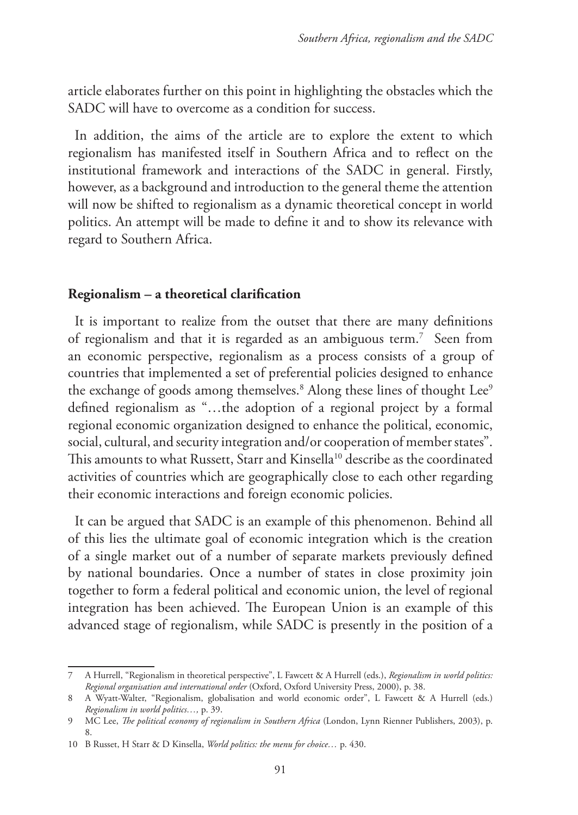article elaborates further on this point in highlighting the obstacles which the SADC will have to overcome as a condition for success.

In addition, the aims of the article are to explore the extent to which regionalism has manifested itself in Southern Africa and to reflect on the institutional framework and interactions of the SADC in general. Firstly, however, as a background and introduction to the general theme the attention will now be shifted to regionalism as a dynamic theoretical concept in world politics. An attempt will be made to define it and to show its relevance with regard to Southern Africa.

### **Regionalism – a theoretical clarification**

It is important to realize from the outset that there are many definitions of regionalism and that it is regarded as an ambiguous term.7 Seen from an economic perspective, regionalism as a process consists of a group of countries that implemented a set of preferential policies designed to enhance the exchange of goods among themselves.<sup>8</sup> Along these lines of thought Lee<sup>9</sup> defined regionalism as "…the adoption of a regional project by a formal regional economic organization designed to enhance the political, economic, social, cultural, and security integration and/or cooperation of member states". This amounts to what Russett, Starr and Kinsella<sup>10</sup> describe as the coordinated activities of countries which are geographically close to each other regarding their economic interactions and foreign economic policies.

It can be argued that SADC is an example of this phenomenon. Behind all of this lies the ultimate goal of economic integration which is the creation of a single market out of a number of separate markets previously defined by national boundaries. Once a number of states in close proximity join together to form a federal political and economic union, the level of regional integration has been achieved. The European Union is an example of this advanced stage of regionalism, while SADC is presently in the position of a

<sup>7</sup> A Hurrell, "Regionalism in theoretical perspective", L Fawcett & A Hurrell (eds.), *Regionalism in world politics: Regional organisation and international order* (Oxford, Oxford University Press, 2000), p. 38.

<sup>8</sup> A Wyatt-Walter, "Regionalism, globalisation and world economic order", L Fawcett & A Hurrell (eds.) *Regionalism in world politics…,* p. 39.

<sup>9</sup> MC Lee, *The political economy of regionalism in Southern Africa* (London, Lynn Rienner Publishers, 2003), p. 8.

<sup>10</sup> B Russet, H Starr & D Kinsella, *World politics: the menu for choice…* p. 430.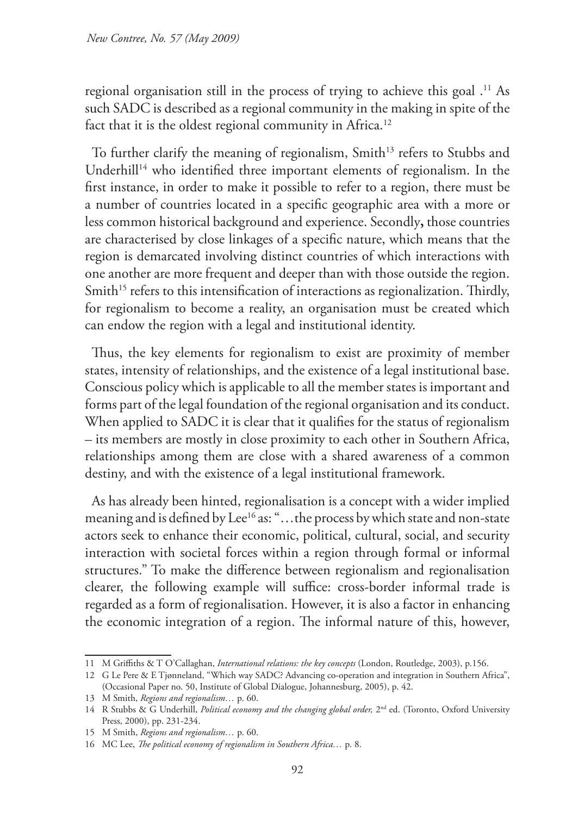regional organisation still in the process of trying to achieve this goal .11 As such SADC is described as a regional community in the making in spite of the fact that it is the oldest regional community in Africa.<sup>12</sup>

To further clarify the meaning of regionalism, Smith<sup>13</sup> refers to Stubbs and Underhill<sup>14</sup> who identified three important elements of regionalism. In the first instance, in order to make it possible to refer to a region, there must be a number of countries located in a specific geographic area with a more or less common historical background and experience. Secondly**,** those countries are characterised by close linkages of a specific nature, which means that the region is demarcated involving distinct countries of which interactions with one another are more frequent and deeper than with those outside the region. Smith<sup>15</sup> refers to this intensification of interactions as regionalization. Thirdly, for regionalism to become a reality, an organisation must be created which can endow the region with a legal and institutional identity.

Thus, the key elements for regionalism to exist are proximity of member states, intensity of relationships, and the existence of a legal institutional base. Conscious policy which is applicable to all the member states is important and forms part of the legal foundation of the regional organisation and its conduct. When applied to SADC it is clear that it qualifies for the status of regionalism – its members are mostly in close proximity to each other in Southern Africa, relationships among them are close with a shared awareness of a common destiny, and with the existence of a legal institutional framework.

As has already been hinted, regionalisation is a concept with a wider implied meaning and is defined by Lee<sup>16</sup> as: "...the process by which state and non-state actors seek to enhance their economic, political, cultural, social, and security interaction with societal forces within a region through formal or informal structures." To make the difference between regionalism and regionalisation clearer, the following example will suffice: cross-border informal trade is regarded as a form of regionalisation. However, it is also a factor in enhancing the economic integration of a region. The informal nature of this, however,

<sup>11</sup> M Griffiths & T O'Callaghan, *International relations: the key concepts* (London, Routledge, 2003), p.156.

<sup>12</sup> G Le Pere & E Tjønneland, "Which way SADC? Advancing co-operation and integration in Southern Africa", (Occasional Paper no. 50, Institute of Global Dialogue, Johannesburg, 2005), p. 42.

<sup>13</sup> M Smith, *Regions and regionalism…* p. 60.

<sup>14</sup> R Stubbs & G Underhill, *Political economy and the changing global order,* 2nd ed. (Toronto, Oxford University Press, 2000), pp. 231-234.

<sup>15</sup> M Smith, *Regions and regionalism…* p. 60.

<sup>16</sup> MC Lee, *The political economy of regionalism in Southern Africa…* p. 8.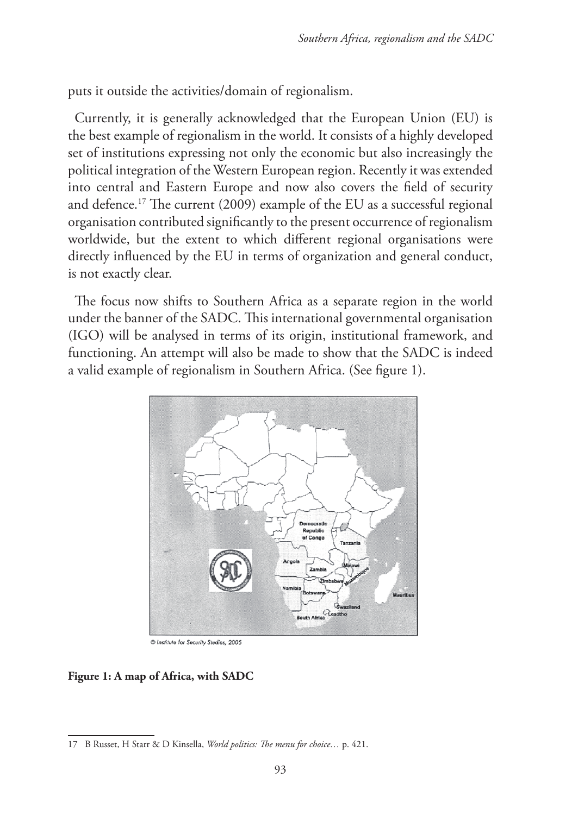puts it outside the activities/domain of regionalism.

Currently, it is generally acknowledged that the European Union (EU) is the best example of regionalism in the world. It consists of a highly developed set of institutions expressing not only the economic but also increasingly the political integration of the Western European region. Recently it was extended into central and Eastern Europe and now also covers the field of security and defence.17 The current (2009) example of the EU as a successful regional organisation contributed significantly to the present occurrence of regionalism worldwide, but the extent to which different regional organisations were directly influenced by the EU in terms of organization and general conduct, is not exactly clear.

The focus now shifts to Southern Africa as a separate region in the world under the banner of the SADC. This international governmental organisation (IGO) will be analysed in terms of its origin, institutional framework, and functioning. An attempt will also be made to show that the SADC is indeed a valid example of regionalism in Southern Africa. (See figure 1).



C Institute for Security Studies, 2005

#### **Figure 1: A map of Africa, with SADC**

<sup>17</sup> B Russet, H Starr & D Kinsella, *World politics: The menu for choice…* p. 421.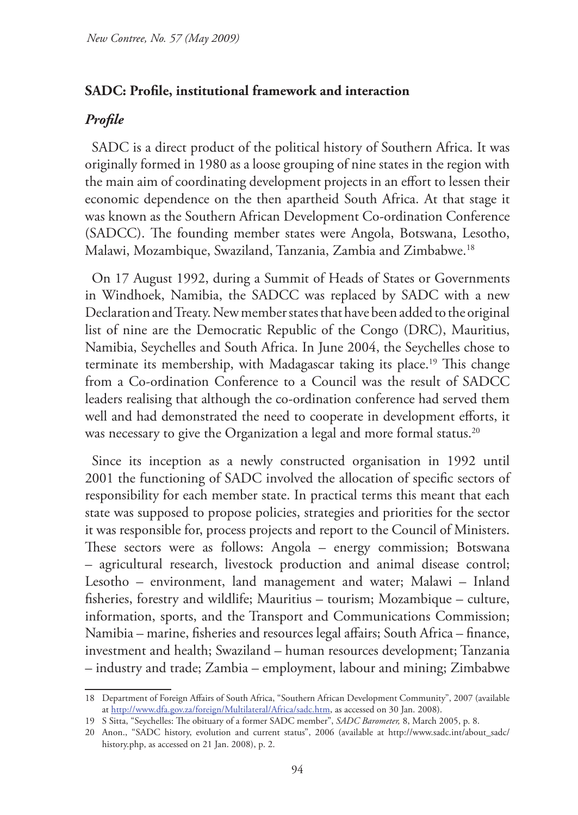### **SADC: Profile, institutional framework and interaction**

## *Profile*

SADC is a direct product of the political history of Southern Africa. It was originally formed in 1980 as a loose grouping of nine states in the region with the main aim of coordinating development projects in an effort to lessen their economic dependence on the then apartheid South Africa. At that stage it was known as the Southern African Development Co-ordination Conference (SADCC). The founding member states were Angola, Botswana, Lesotho, Malawi, Mozambique, Swaziland, Tanzania, Zambia and Zimbabwe.18

On 17 August 1992, during a Summit of Heads of States or Governments in Windhoek, Namibia, the SADCC was replaced by SADC with a new Declaration and Treaty. New member states that have been added to the original list of nine are the Democratic Republic of the Congo (DRC), Mauritius, Namibia, Seychelles and South Africa. In June 2004, the Seychelles chose to terminate its membership, with Madagascar taking its place.<sup>19</sup> This change from a Co-ordination Conference to a Council was the result of SADCC leaders realising that although the co-ordination conference had served them well and had demonstrated the need to cooperate in development efforts, it was necessary to give the Organization a legal and more formal status.<sup>20</sup>

Since its inception as a newly constructed organisation in 1992 until 2001 the functioning of SADC involved the allocation of specific sectors of responsibility for each member state. In practical terms this meant that each state was supposed to propose policies, strategies and priorities for the sector it was responsible for, process projects and report to the Council of Ministers. These sectors were as follows: Angola – energy commission; Botswana – agricultural research, livestock production and animal disease control; Lesotho – environment, land management and water; Malawi – Inland fisheries, forestry and wildlife; Mauritius – tourism; Mozambique – culture, information, sports, and the Transport and Communications Commission; Namibia – marine, fisheries and resources legal affairs; South Africa – finance, investment and health; Swaziland – human resources development; Tanzania – industry and trade; Zambia – employment, labour and mining; Zimbabwe

<sup>18</sup> Department of Foreign Affairs of South Africa, "Southern African Development Community", 2007 (available at http://www.dfa.gov.za/foreign/Multilateral/Africa/sadc.htm, as accessed on 30 Jan. 2008).

<sup>19</sup> S Sitta, "Seychelles: The obituary of a former SADC member", *SADC Barometer,* 8, March 2005, p. 8.

<sup>20</sup> Anon., "SADC history, evolution and current status", 2006 (available at http://www.sadc.int/about\_sadc/ history.php, as accessed on 21 Jan. 2008), p. 2.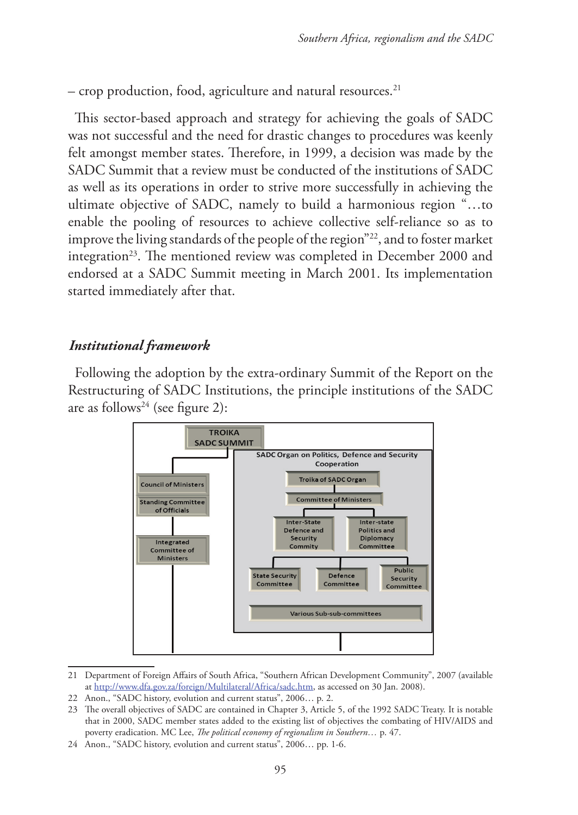– crop production, food, agriculture and natural resources.21

This sector-based approach and strategy for achieving the goals of SADC was not successful and the need for drastic changes to procedures was keenly felt amongst member states. Therefore, in 1999, a decision was made by the SADC Summit that a review must be conducted of the institutions of SADC as well as its operations in order to strive more successfully in achieving the ultimate objective of SADC, namely to build a harmonious region "…to enable the pooling of resources to achieve collective self-reliance so as to improve the living standards of the people of the region"22, and to foster market integration<sup>23</sup>. The mentioned review was completed in December 2000 and endorsed at a SADC Summit meeting in March 2001. Its implementation started immediately after that.

### *Institutional framework*

Following the adoption by the extra-ordinary Summit of the Report on the Restructuring of SADC Institutions, the principle institutions of the SADC are as follows<sup>24</sup> (see figure 2):



<sup>21</sup> Department of Foreign Affairs of South Africa, "Southern African Development Community", 2007 (available at http://www.dfa.gov.za/foreign/Multilateral/Africa/sadc.htm, as accessed on 30 Jan. 2008).

<sup>22</sup> Anon., "SADC history, evolution and current status", 2006… p. 2.

<sup>23</sup> The overall objectives of SADC are contained in Chapter 3, Article 5, of the 1992 SADC Treaty. It is notable that in 2000, SADC member states added to the existing list of objectives the combating of HIV/AIDS and poverty eradication. MC Lee, *The political economy of regionalism in Southern...* p. 47.

<sup>24</sup> Anon., "SADC history, evolution and current status", 2006… pp. 1-6.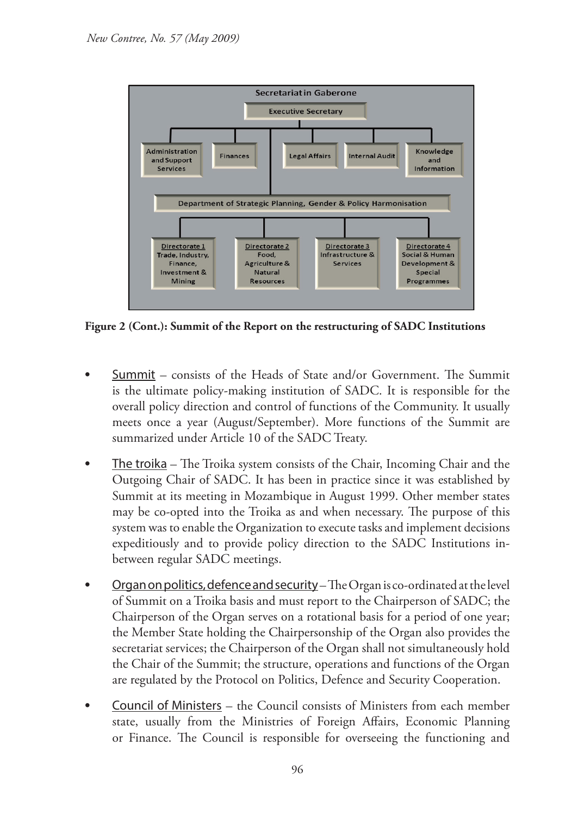

**Figure 2 (Cont.): Summit of the Report on the restructuring of SADC Institutions**

- **Summit** consists of the Heads of State and/or Government. The Summit is the ultimate policy-making institution of SADC. It is responsible for the overall policy direction and control of functions of the Community. It usually meets once a year (August/September). More functions of the Summit are summarized under Article 10 of the SADC Treaty.
- The troika The Troika system consists of the Chair, Incoming Chair and the Outgoing Chair of SADC. It has been in practice since it was established by Summit at its meeting in Mozambique in August 1999. Other member states may be co-opted into the Troika as and when necessary. The purpose of this system was to enable the Organization to execute tasks and implement decisions expeditiously and to provide policy direction to the SADC Institutions inbetween regular SADC meetings.
- Organ on politics, defence and security The Organ is co-ordinated at the level of Summit on a Troika basis and must report to the Chairperson of SADC; the Chairperson of the Organ serves on a rotational basis for a period of one year; the Member State holding the Chairpersonship of the Organ also provides the secretariat services; the Chairperson of the Organ shall not simultaneously hold the Chair of the Summit; the structure, operations and functions of the Organ are regulated by the Protocol on Politics, Defence and Security Cooperation.
- Council of Ministers the Council consists of Ministers from each member state, usually from the Ministries of Foreign Affairs, Economic Planning or Finance. The Council is responsible for overseeing the functioning and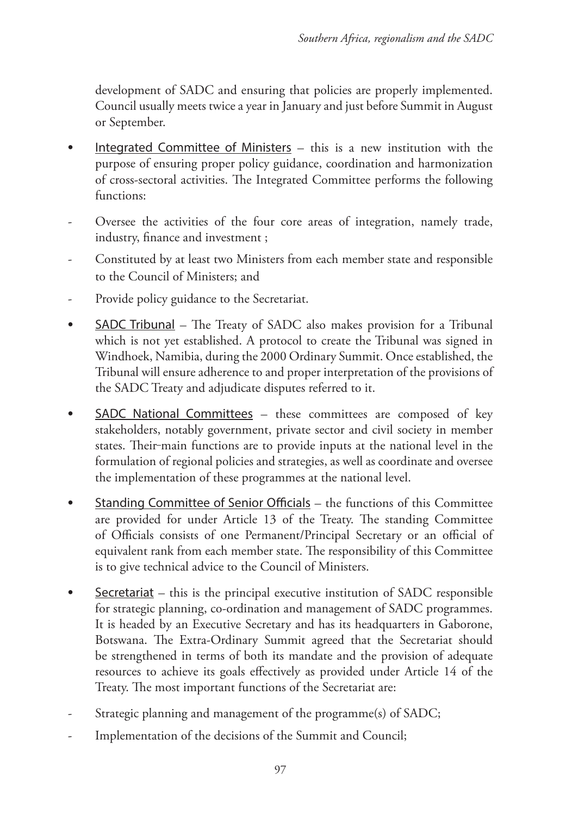development of SADC and ensuring that policies are properly implemented. Council usually meets twice a year in January and just before Summit in August or September.

- **•** Integrated Committee of Ministers this is a new institution with the purpose of ensuring proper policy guidance, coordination and harmonization of cross-sectoral activities. The Integrated Committee performs the following functions:
- Oversee the activities of the four core areas of integration, namely trade, industry, finance and investment ;
- Constituted by at least two Ministers from each member state and responsible to the Council of Ministers; and
- Provide policy guidance to the Secretariat.
- **•** SADC Tribunal The Treaty of SADC also makes provision for a Tribunal which is not yet established. A protocol to create the Tribunal was signed in Windhoek, Namibia, during the 2000 Ordinary Summit. Once established, the Tribunal will ensure adherence to and proper interpretation of the provisions of the SADC Treaty and adjudicate disputes referred to it.
- **<u>SADC</u>** National Committees these committees are composed of key stakeholders, notably government, private sector and civil society in member states. Their-main functions are to provide inputs at the national level in the formulation of regional policies and strategies, as well as coordinate and oversee the implementation of these programmes at the national level.
- **•** Standing Committee of Senior Officials the functions of this Committee are provided for under Article 13 of the Treaty. The standing Committee of Officials consists of one Permanent/Principal Secretary or an official of equivalent rank from each member state. The responsibility of this Committee is to give technical advice to the Council of Ministers.
- **<u>Secretariat</u>** this is the principal executive institution of SADC responsible for strategic planning, co-ordination and management of SADC programmes. It is headed by an Executive Secretary and has its headquarters in Gaborone, Botswana. The Extra-Ordinary Summit agreed that the Secretariat should be strengthened in terms of both its mandate and the provision of adequate resources to achieve its goals effectively as provided under Article 14 of the Treaty. The most important functions of the Secretariat are:
- Strategic planning and management of the programme(s) of SADC;
- Implementation of the decisions of the Summit and Council;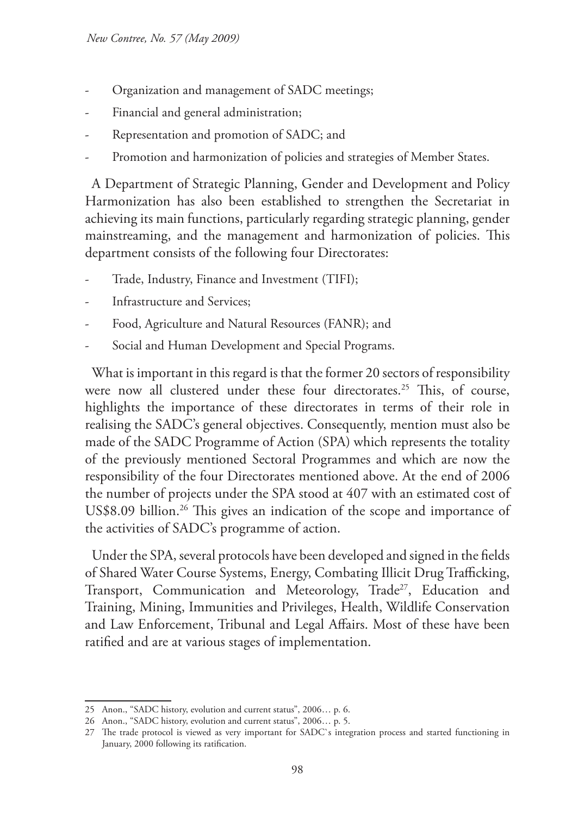- Organization and management of SADC meetings;
- Financial and general administration;
- Representation and promotion of SADC; and
- Promotion and harmonization of policies and strategies of Member States.

A Department of Strategic Planning, Gender and Development and Policy Harmonization has also been established to strengthen the Secretariat in achieving its main functions, particularly regarding strategic planning, gender mainstreaming, and the management and harmonization of policies. This department consists of the following four Directorates:

- Trade, Industry, Finance and Investment (TIFI);
- Infrastructure and Services:
- Food, Agriculture and Natural Resources (FANR); and
- Social and Human Development and Special Programs.

What is important in this regard is that the former 20 sectors of responsibility were now all clustered under these four directorates.<sup>25</sup> This, of course, highlights the importance of these directorates in terms of their role in realising the SADC's general objectives. Consequently, mention must also be made of the SADC Programme of Action (SPA) which represents the totality of the previously mentioned Sectoral Programmes and which are now the responsibility of the four Directorates mentioned above. At the end of 2006 the number of projects under the SPA stood at 407 with an estimated cost of US\$8.09 billion.<sup>26</sup> This gives an indication of the scope and importance of the activities of SADC's programme of action.

Under the SPA, several protocols have been developed and signed in the fields of Shared Water Course Systems, Energy, Combating Illicit Drug Trafficking, Transport, Communication and Meteorology, Trade<sup>27</sup>, Education and Training, Mining, Immunities and Privileges, Health, Wildlife Conservation and Law Enforcement, Tribunal and Legal Affairs. Most of these have been ratified and are at various stages of implementation.

<sup>25</sup> Anon., "SADC history, evolution and current status", 2006… p. 6.

<sup>26</sup> Anon., "SADC history, evolution and current status", 2006… p. 5.

<sup>27</sup> The trade protocol is viewed as very important for SADC`s integration process and started functioning in January, 2000 following its ratification.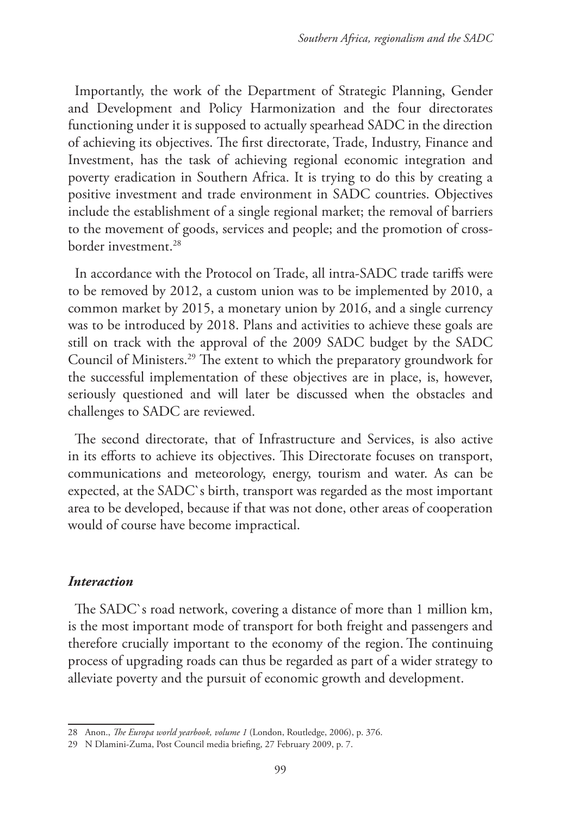Importantly, the work of the Department of Strategic Planning, Gender and Development and Policy Harmonization and the four directorates functioning under it is supposed to actually spearhead SADC in the direction of achieving its objectives. The first directorate, Trade, Industry, Finance and Investment, has the task of achieving regional economic integration and poverty eradication in Southern Africa. It is trying to do this by creating a positive investment and trade environment in SADC countries. Objectives include the establishment of a single regional market; the removal of barriers to the movement of goods, services and people; and the promotion of crossborder investment.28

In accordance with the Protocol on Trade, all intra-SADC trade tariffs were to be removed by 2012, a custom union was to be implemented by 2010, a common market by 2015, a monetary union by 2016, and a single currency was to be introduced by 2018. Plans and activities to achieve these goals are still on track with the approval of the 2009 SADC budget by the SADC Council of Ministers.29 The extent to which the preparatory groundwork for the successful implementation of these objectives are in place, is, however, seriously questioned and will later be discussed when the obstacles and challenges to SADC are reviewed.

The second directorate, that of Infrastructure and Services, is also active in its efforts to achieve its objectives. This Directorate focuses on transport, communications and meteorology, energy, tourism and water. As can be expected, at the SADC`s birth, transport was regarded as the most important area to be developed, because if that was not done, other areas of cooperation would of course have become impractical.

#### *Interaction*

The SADC`s road network, covering a distance of more than 1 million km, is the most important mode of transport for both freight and passengers and therefore crucially important to the economy of the region. The continuing process of upgrading roads can thus be regarded as part of a wider strategy to alleviate poverty and the pursuit of economic growth and development.

<sup>28</sup> Anon., *The Europa world yearbook, volume 1* (London, Routledge, 2006), p. 376.

<sup>29</sup> N Dlamini-Zuma, Post Council media briefing, 27 February 2009, p. 7.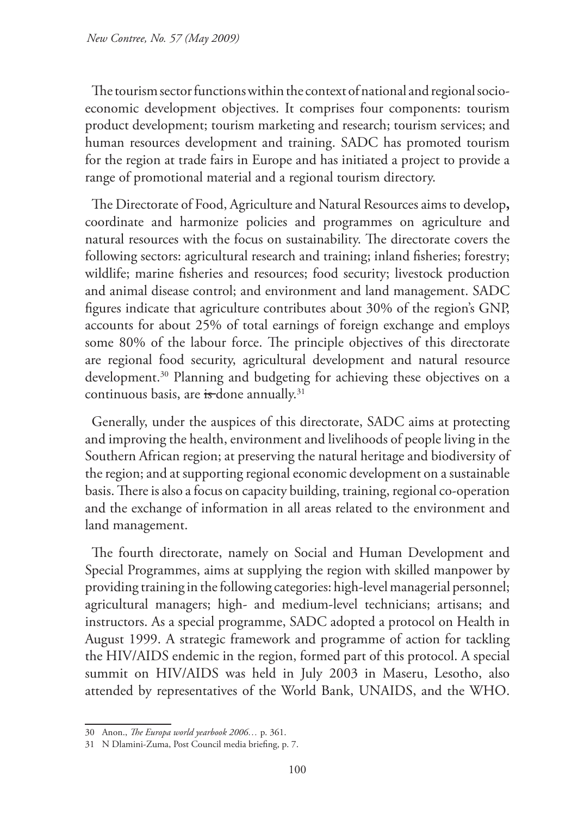The tourism sector functions within the context of national and regional socioeconomic development objectives. It comprises four components: tourism product development; tourism marketing and research; tourism services; and human resources development and training. SADC has promoted tourism for the region at trade fairs in Europe and has initiated a project to provide a range of promotional material and a regional tourism directory.

The Directorate of Food, Agriculture and Natural Resources aims to develop**,**  coordinate and harmonize policies and programmes on agriculture and natural resources with the focus on sustainability. The directorate covers the following sectors: agricultural research and training; inland fisheries; forestry; wildlife; marine fisheries and resources; food security; livestock production and animal disease control; and environment and land management. SADC figures indicate that agriculture contributes about 30% of the region's GNP, accounts for about 25% of total earnings of foreign exchange and employs some 80% of the labour force. The principle objectives of this directorate are regional food security, agricultural development and natural resource development.<sup>30</sup> Planning and budgeting for achieving these objectives on a continuous basis, are is done annually.<sup>31</sup>

Generally, under the auspices of this directorate, SADC aims at protecting and improving the health, environment and livelihoods of people living in the Southern African region; at preserving the natural heritage and biodiversity of the region; and at supporting regional economic development on a sustainable basis. There is also a focus on capacity building, training, regional co-operation and the exchange of information in all areas related to the environment and land management.

The fourth directorate, namely on Social and Human Development and Special Programmes, aims at supplying the region with skilled manpower by providing training in the following categories: high-level managerial personnel; agricultural managers; high- and medium-level technicians; artisans; and instructors. As a special programme, SADC adopted a protocol on Health in August 1999. A strategic framework and programme of action for tackling the HIV/AIDS endemic in the region, formed part of this protocol. A special summit on HIV/AIDS was held in July 2003 in Maseru, Lesotho, also attended by representatives of the World Bank, UNAIDS, and the WHO.

<sup>30</sup> Anon., *The Europa world yearbook 2006…* p. 361.

<sup>31</sup> N Dlamini-Zuma, Post Council media briefing, p. 7.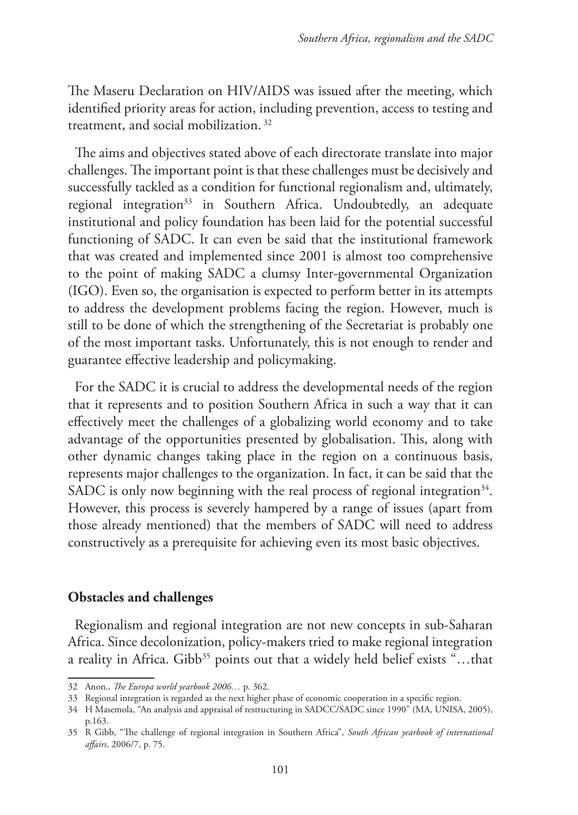The Maseru Declaration on HIV/AIDS was issued after the meeting, which identified priority areas for action, including prevention, access to testing and treatment, and social mobilization. 32

The aims and objectives stated above of each directorate translate into major challenges. The important point is that these challenges must be decisively and successfully tackled as a condition for functional regionalism and, ultimately, regional integration<sup>33</sup> in Southern Africa. Undoubtedly, an adequate institutional and policy foundation has been laid for the potential successful functioning of SADC. It can even be said that the institutional framework that was created and implemented since 2001 is almost too comprehensive to the point of making SADC a clumsy Inter-governmental Organization (IGO). Even so, the organisation is expected to perform better in its attempts to address the development problems facing the region. However, much is still to be done of which the strengthening of the Secretariat is probably one of the most important tasks. Unfortunately, this is not enough to render and guarantee effective leadership and policymaking.

For the SADC it is crucial to address the developmental needs of the region that it represents and to position Southern Africa in such a way that it can effectively meet the challenges of a globalizing world economy and to take advantage of the opportunities presented by globalisation. This, along with other dynamic changes taking place in the region on a continuous basis, represents major challenges to the organization. In fact, it can be said that the SADC is only now beginning with the real process of regional integration<sup>34</sup>. However, this process is severely hampered by a range of issues (apart from those already mentioned) that the members of SADC will need to address constructively as a prerequisite for achieving even its most basic objectives.

### **Obstacles and challenges**

Regionalism and regional integration are not new concepts in sub-Saharan Africa. Since decolonization, policy-makers tried to make regional integration a reality in Africa. Gibb<sup>35</sup> points out that a widely held belief exists "...that

<sup>32</sup> Anon., *The Europa world yearbook 2006…* p. 362.

<sup>33</sup> Regional integration is regarded as the next higher phase of economic cooperation in a specific region.

<sup>34</sup> H Masemola, "An analysis and appraisal of restructuring in SADCC/SADC since 1990" (MA, UNISA, 2005), p.163.

<sup>35</sup> R Gibb, "The challenge of regional integration in Southern Africa", *South African yearbook of international affairs,* 2006/7, p. 75.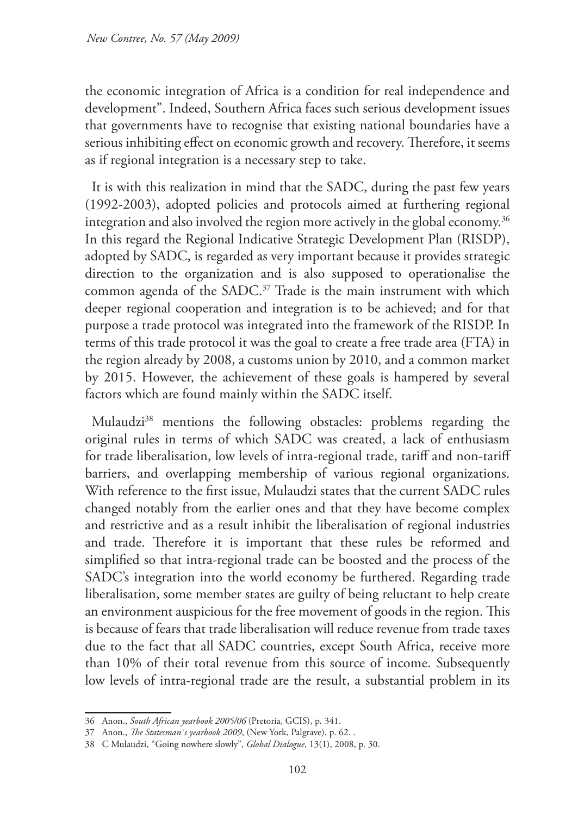the economic integration of Africa is a condition for real independence and development". Indeed, Southern Africa faces such serious development issues that governments have to recognise that existing national boundaries have a serious inhibiting effect on economic growth and recovery. Therefore, it seems as if regional integration is a necessary step to take.

It is with this realization in mind that the SADC, during the past few years (1992-2003), adopted policies and protocols aimed at furthering regional integration and also involved the region more actively in the global economy.<sup>36</sup> In this regard the Regional Indicative Strategic Development Plan (RISDP), adopted by SADC, is regarded as very important because it provides strategic direction to the organization and is also supposed to operationalise the common agenda of the SADC.<sup>37</sup> Trade is the main instrument with which deeper regional cooperation and integration is to be achieved; and for that purpose a trade protocol was integrated into the framework of the RISDP. In terms of this trade protocol it was the goal to create a free trade area (FTA) in the region already by 2008, a customs union by 2010, and a common market by 2015. However, the achievement of these goals is hampered by several factors which are found mainly within the SADC itself.

Mulaudzi<sup>38</sup> mentions the following obstacles: problems regarding the original rules in terms of which SADC was created, a lack of enthusiasm for trade liberalisation, low levels of intra-regional trade, tariff and non-tariff barriers, and overlapping membership of various regional organizations. With reference to the first issue, Mulaudzi states that the current SADC rules changed notably from the earlier ones and that they have become complex and restrictive and as a result inhibit the liberalisation of regional industries and trade. Therefore it is important that these rules be reformed and simplified so that intra-regional trade can be boosted and the process of the SADC's integration into the world economy be furthered. Regarding trade liberalisation, some member states are guilty of being reluctant to help create an environment auspicious for the free movement of goods in the region. This is because of fears that trade liberalisation will reduce revenue from trade taxes due to the fact that all SADC countries, except South Africa, receive more than 10% of their total revenue from this source of income. Subsequently low levels of intra-regional trade are the result, a substantial problem in its

<sup>36</sup> Anon., *South African yearbook 2005/06* (Pretoria, GCIS), p. 341.

<sup>37</sup> Anon., *The Statesman`s yearbook 2009*, (New York, Palgrave), p. 62. .

<sup>38</sup> C Mulaudzi, "Going nowhere slowly", *Global Dialogue,* 13(1), 2008, p. 30.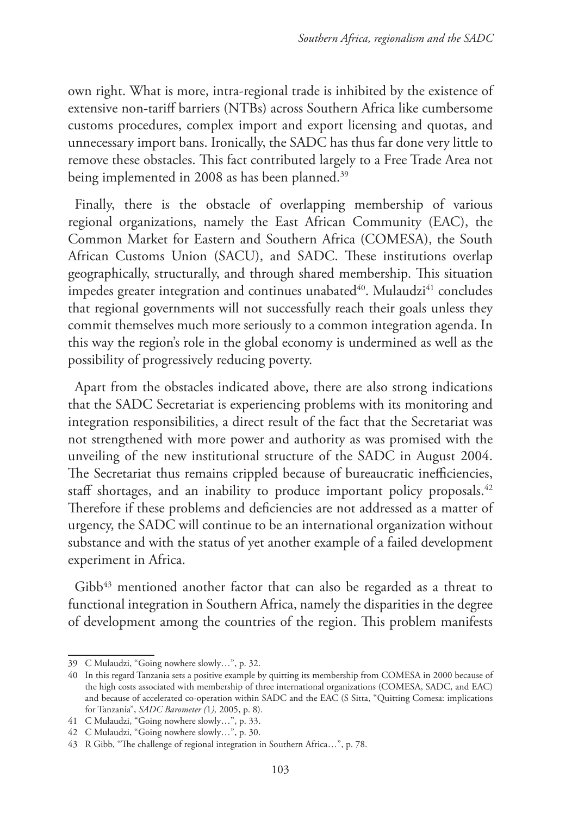own right. What is more, intra-regional trade is inhibited by the existence of extensive non-tariff barriers (NTBs) across Southern Africa like cumbersome customs procedures, complex import and export licensing and quotas, and unnecessary import bans. Ironically, the SADC has thus far done very little to remove these obstacles. This fact contributed largely to a Free Trade Area not being implemented in 2008 as has been planned.<sup>39</sup>

Finally, there is the obstacle of overlapping membership of various regional organizations, namely the East African Community (EAC), the Common Market for Eastern and Southern Africa (COMESA), the South African Customs Union (SACU), and SADC. These institutions overlap geographically, structurally, and through shared membership. This situation impedes greater integration and continues unabated<sup>40</sup>. Mulaudzi<sup>41</sup> concludes that regional governments will not successfully reach their goals unless they commit themselves much more seriously to a common integration agenda. In this way the region's role in the global economy is undermined as well as the possibility of progressively reducing poverty.

Apart from the obstacles indicated above, there are also strong indications that the SADC Secretariat is experiencing problems with its monitoring and integration responsibilities, a direct result of the fact that the Secretariat was not strengthened with more power and authority as was promised with the unveiling of the new institutional structure of the SADC in August 2004. The Secretariat thus remains crippled because of bureaucratic inefficiencies, staff shortages, and an inability to produce important policy proposals.<sup>42</sup> Therefore if these problems and deficiencies are not addressed as a matter of urgency, the SADC will continue to be an international organization without substance and with the status of yet another example of a failed development experiment in Africa.

 $Gibb<sup>43</sup>$  mentioned another factor that can also be regarded as a threat to functional integration in Southern Africa, namely the disparities in the degree of development among the countries of the region. This problem manifests

<sup>39</sup> C Mulaudzi, "Going nowhere slowly…", p. 32.

<sup>40</sup> In this regard Tanzania sets a positive example by quitting its membership from COMESA in 2000 because of the high costs associated with membership of three international organizations (COMESA, SADC, and EAC) and because of accelerated co-operation within SADC and the EAC (S Sitta, "Quitting Comesa: implications for Tanzania", *SADC Barometer (*1*),* 2005, p. 8).

<sup>41</sup> C Mulaudzi, "Going nowhere slowly…", p. 33.

<sup>42</sup> C Mulaudzi, "Going nowhere slowly…", p. 30.

<sup>43</sup> R Gibb, "The challenge of regional integration in Southern Africa…", p. 78.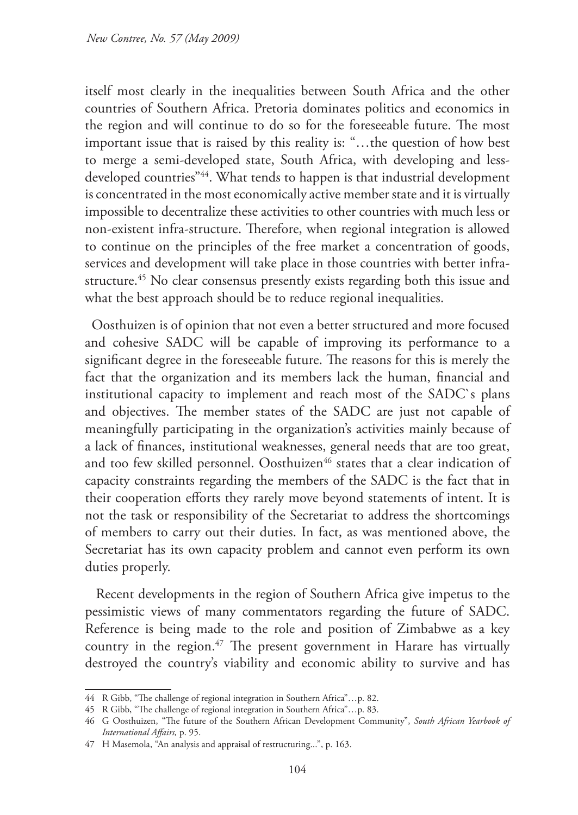itself most clearly in the inequalities between South Africa and the other countries of Southern Africa. Pretoria dominates politics and economics in the region and will continue to do so for the foreseeable future. The most important issue that is raised by this reality is: "…the question of how best to merge a semi-developed state, South Africa, with developing and lessdeveloped countries"44. What tends to happen is that industrial development is concentrated in the most economically active member state and it is virtually impossible to decentralize these activities to other countries with much less or non-existent infra-structure. Therefore, when regional integration is allowed to continue on the principles of the free market a concentration of goods, services and development will take place in those countries with better infrastructure.<sup>45</sup> No clear consensus presently exists regarding both this issue and what the best approach should be to reduce regional inequalities.

Oosthuizen is of opinion that not even a better structured and more focused and cohesive SADC will be capable of improving its performance to a significant degree in the foreseeable future. The reasons for this is merely the fact that the organization and its members lack the human, financial and institutional capacity to implement and reach most of the SADC`s plans and objectives. The member states of the SADC are just not capable of meaningfully participating in the organization's activities mainly because of a lack of finances, institutional weaknesses, general needs that are too great, and too few skilled personnel. Oosthuizen<sup>46</sup> states that a clear indication of capacity constraints regarding the members of the SADC is the fact that in their cooperation efforts they rarely move beyond statements of intent. It is not the task or responsibility of the Secretariat to address the shortcomings of members to carry out their duties. In fact, as was mentioned above, the Secretariat has its own capacity problem and cannot even perform its own duties properly.

Recent developments in the region of Southern Africa give impetus to the pessimistic views of many commentators regarding the future of SADC. Reference is being made to the role and position of Zimbabwe as a key country in the region.<sup>47</sup> The present government in Harare has virtually destroyed the country's viability and economic ability to survive and has

<sup>44</sup> R Gibb, "The challenge of regional integration in Southern Africa"…p. 82.

<sup>45</sup> R Gibb, "The challenge of regional integration in Southern Africa"…p. 83.

<sup>46</sup> G Oosthuizen, "The future of the Southern African Development Community", *South African Yearbook of International Affairs,* p. 95.

<sup>47</sup> H Masemola, "An analysis and appraisal of restructuring...", p. 163.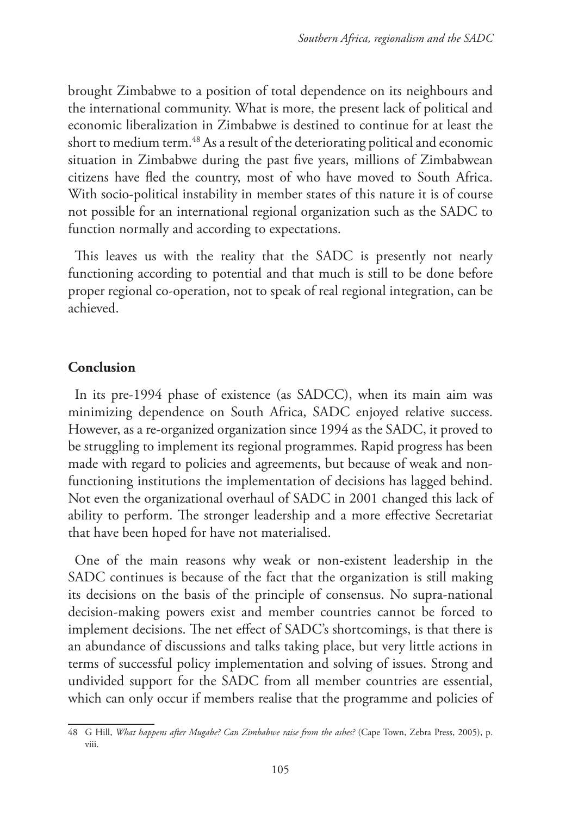brought Zimbabwe to a position of total dependence on its neighbours and the international community. What is more, the present lack of political and economic liberalization in Zimbabwe is destined to continue for at least the short to medium term.<sup>48</sup> As a result of the deteriorating political and economic situation in Zimbabwe during the past five years, millions of Zimbabwean citizens have fled the country, most of who have moved to South Africa. With socio-political instability in member states of this nature it is of course not possible for an international regional organization such as the SADC to function normally and according to expectations.

This leaves us with the reality that the SADC is presently not nearly functioning according to potential and that much is still to be done before proper regional co-operation, not to speak of real regional integration, can be achieved.

### **Conclusion**

In its pre-1994 phase of existence (as SADCC), when its main aim was minimizing dependence on South Africa, SADC enjoyed relative success. However, as a re-organized organization since 1994 as the SADC, it proved to be struggling to implement its regional programmes. Rapid progress has been made with regard to policies and agreements, but because of weak and nonfunctioning institutions the implementation of decisions has lagged behind. Not even the organizational overhaul of SADC in 2001 changed this lack of ability to perform. The stronger leadership and a more effective Secretariat that have been hoped for have not materialised.

One of the main reasons why weak or non-existent leadership in the SADC continues is because of the fact that the organization is still making its decisions on the basis of the principle of consensus. No supra-national decision-making powers exist and member countries cannot be forced to implement decisions. The net effect of SADC's shortcomings, is that there is an abundance of discussions and talks taking place, but very little actions in terms of successful policy implementation and solving of issues. Strong and undivided support for the SADC from all member countries are essential, which can only occur if members realise that the programme and policies of

<sup>48</sup> G Hill, *What happens after Mugabe? Can Zimbabwe raise from the ashes?* (Cape Town, Zebra Press, 2005), p. viii.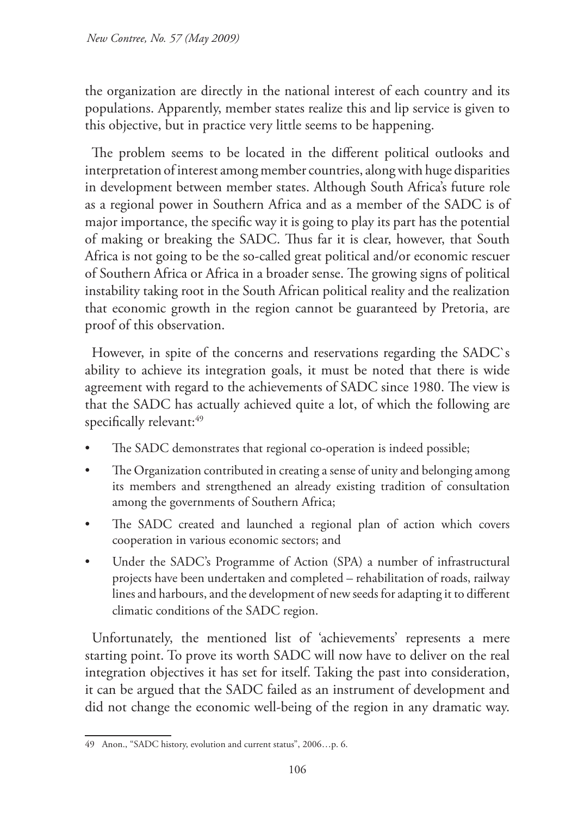the organization are directly in the national interest of each country and its populations. Apparently, member states realize this and lip service is given to this objective, but in practice very little seems to be happening.

The problem seems to be located in the different political outlooks and interpretation of interest among member countries, along with huge disparities in development between member states. Although South Africa's future role as a regional power in Southern Africa and as a member of the SADC is of major importance, the specific way it is going to play its part has the potential of making or breaking the SADC. Thus far it is clear, however, that South Africa is not going to be the so-called great political and/or economic rescuer of Southern Africa or Africa in a broader sense. The growing signs of political instability taking root in the South African political reality and the realization that economic growth in the region cannot be guaranteed by Pretoria, are proof of this observation.

However, in spite of the concerns and reservations regarding the SADC`s ability to achieve its integration goals, it must be noted that there is wide agreement with regard to the achievements of SADC since 1980. The view is that the SADC has actually achieved quite a lot, of which the following are specifically relevant:<sup>49</sup>

- The SADC demonstrates that regional co-operation is indeed possible;
- The Organization contributed in creating a sense of unity and belonging among its members and strengthened an already existing tradition of consultation among the governments of Southern Africa;
- The SADC created and launched a regional plan of action which covers cooperation in various economic sectors; and
- Under the SADC's Programme of Action (SPA) a number of infrastructural projects have been undertaken and completed – rehabilitation of roads, railway lines and harbours, and the development of new seeds for adapting it to different climatic conditions of the SADC region.

Unfortunately, the mentioned list of 'achievements' represents a mere starting point. To prove its worth SADC will now have to deliver on the real integration objectives it has set for itself. Taking the past into consideration, it can be argued that the SADC failed as an instrument of development and did not change the economic well-being of the region in any dramatic way.

<sup>49</sup> Anon., "SADC history, evolution and current status", 2006…p. 6.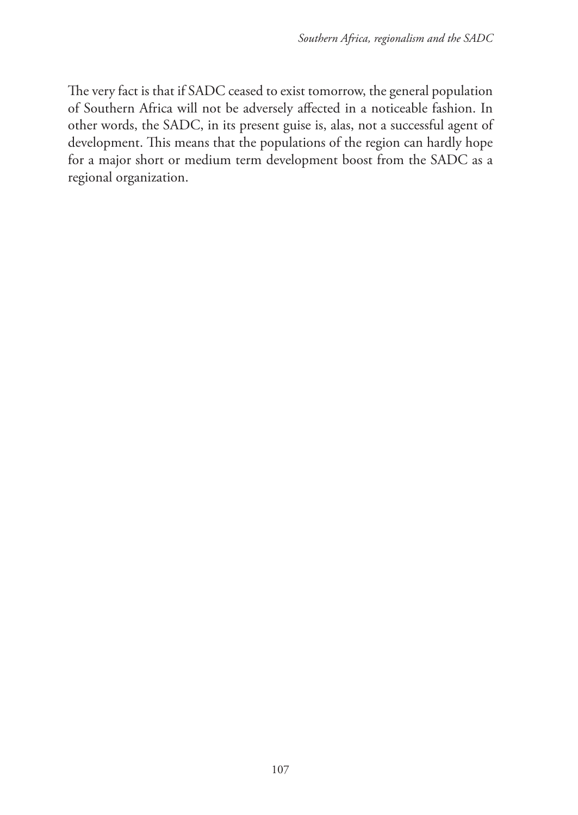The very fact is that if SADC ceased to exist tomorrow, the general population of Southern Africa will not be adversely affected in a noticeable fashion. In other words, the SADC, in its present guise is, alas, not a successful agent of development. This means that the populations of the region can hardly hope for a major short or medium term development boost from the SADC as a regional organization.